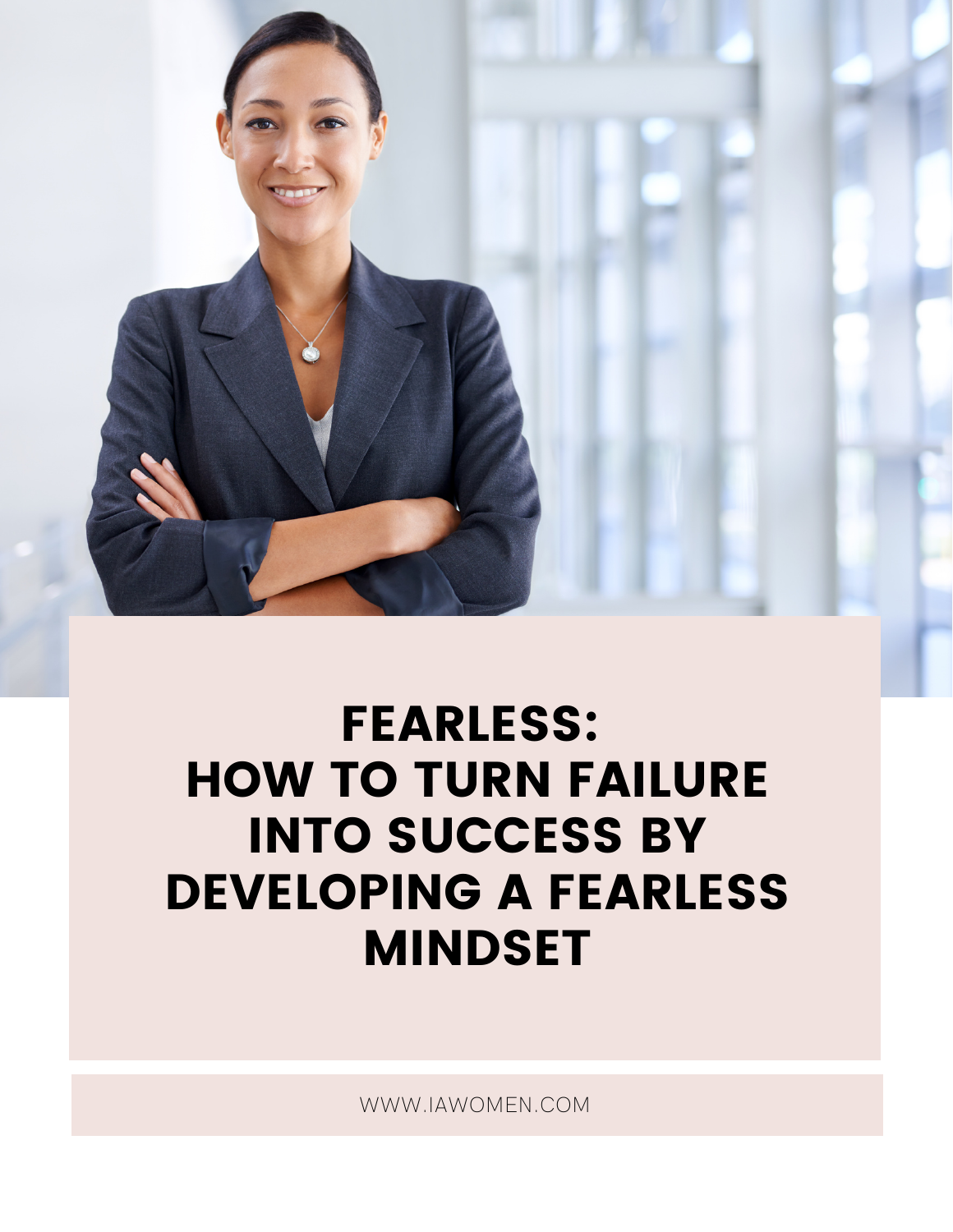

### FEARLESS: HOW TO TURN FAILURE INTO SUCCESS BY DEVELOPING A FEARLESS MINDSET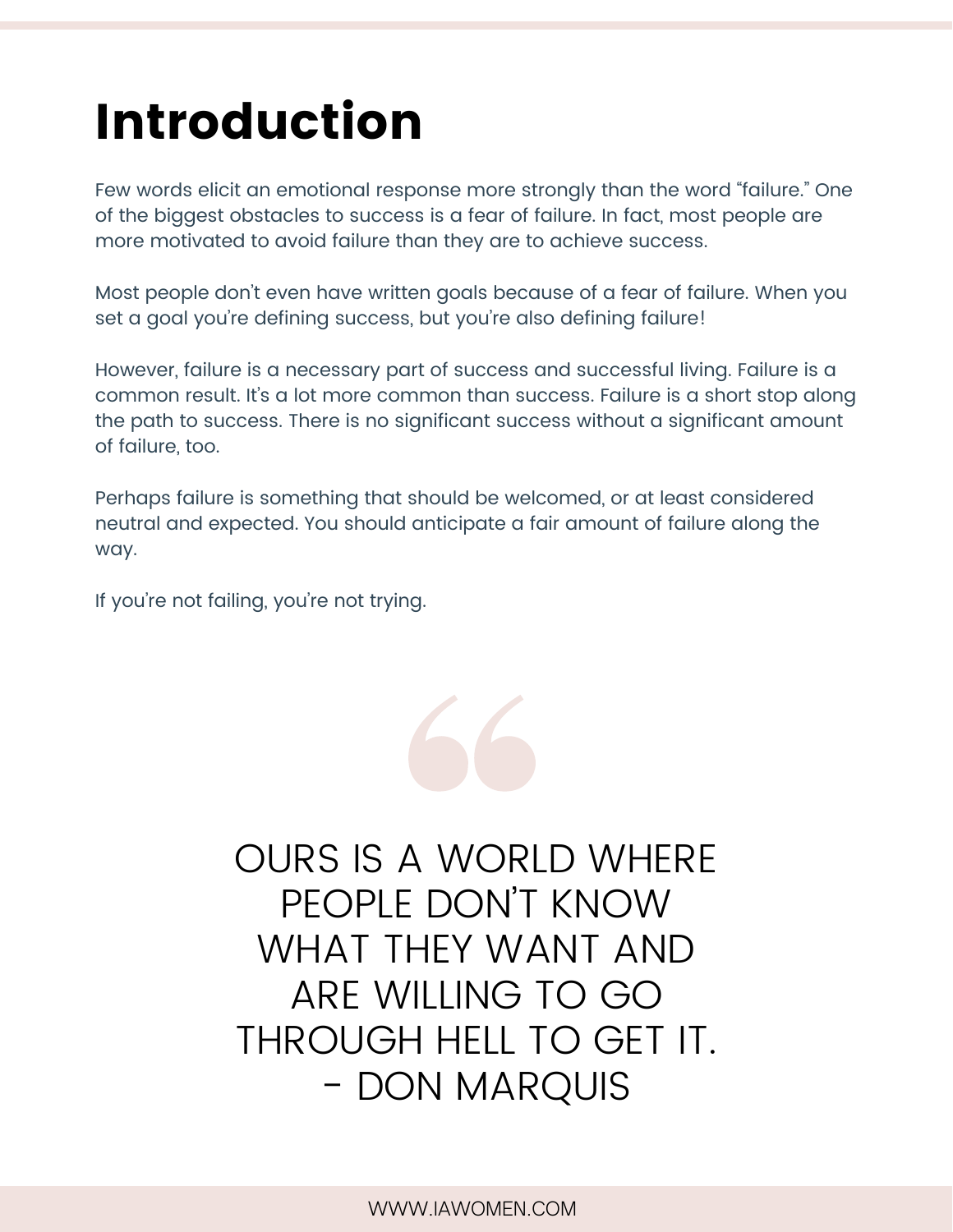## Introduction

Few words elicit an emotional response more strongly than the word "failure." One of the biggest obstacles to success is a fear of failure. In fact, most people are more motivated to avoid failure than they are to achieve success.

Most people don't even have written goals because of a fear of failure. When you set a goal you're defining success, but you're also defining failure!

However, failure is a necessary part of success and successful living. Failure is a common result. It's a lot more common than success. Failure is a short stop along the path to success. There is no significant success without a significant amount of failure, too.

Perhaps failure is something that should be welcomed, or at least considered neutral and expected. You should anticipate a fair amount of failure along the way.

If you're not failing, you're not trying.

OURS IS A WORLD WHERE PEOPLE DON'T KNOW WHAT THEY WANT AND ARE WILLING TO GO THROUGH HELL TO GET IT. - DON MARQUIS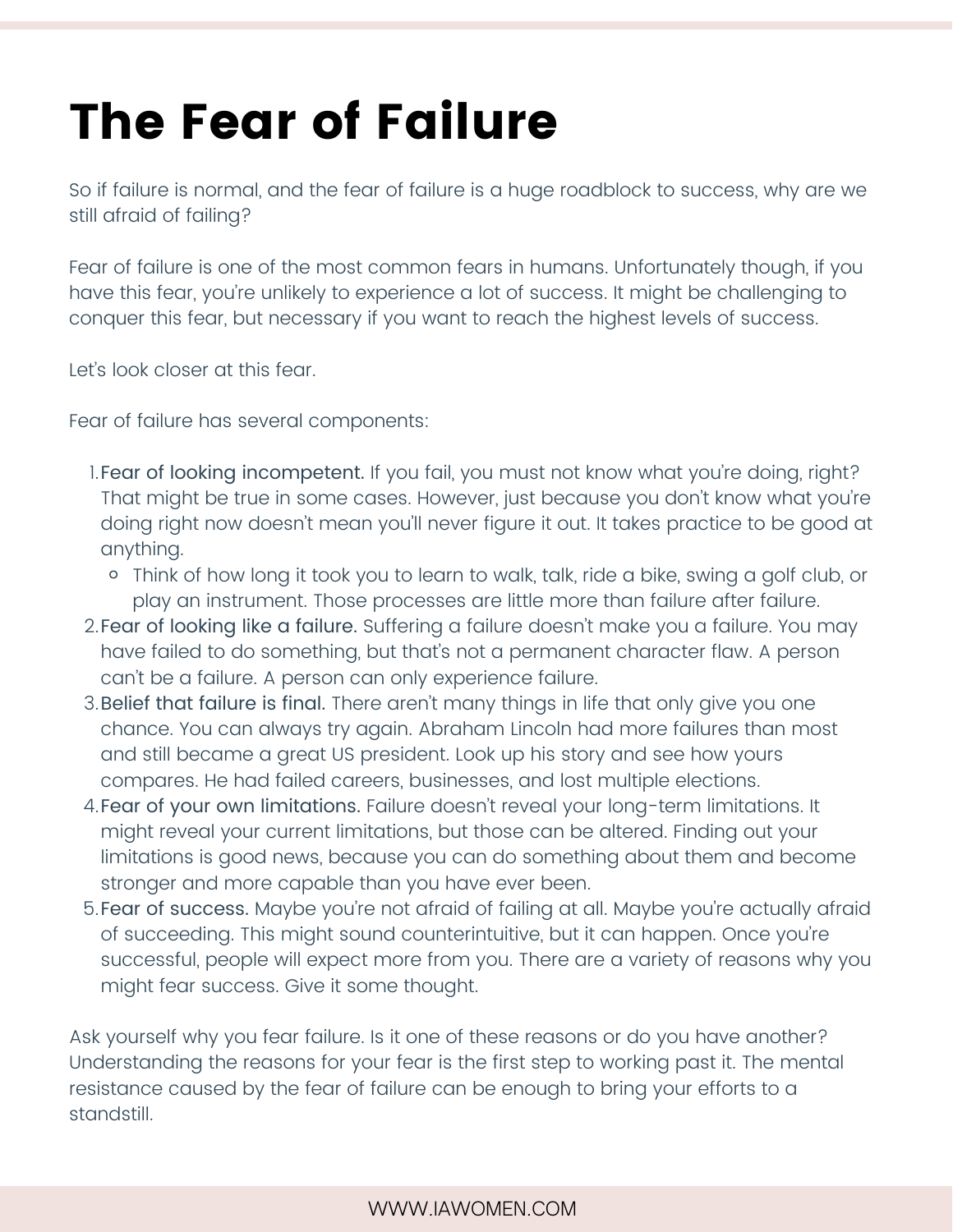## The Fear of Failure

So if failure is normal, and the fear of failure is a huge roadblock to success, why are we still afraid of failing?

Fear of failure is one of the most common fears in humans. Unfortunately though, if you have this fear, you're unlikely to experience a lot of success. It might be challenging to conquer this fear, but necessary if you want to reach the highest levels of success.

Let's look closer at this fear.

Fear of failure has several components:

- l.Fear of looking incompetent. If you fail, you must not know what you're doing, right? That might be true in some cases. However, just because you don't know what you're doing right now doesn't mean you'll never figure it out. It takes practice to be good at anything.
	- Think of how long it took you to learn to walk, talk, ride a bike, swing a golf club, or play an instrument. Those processes are little more than failure after failure.
- 2.Fear of looking like a failure. Suffering a failure doesn't make you a failure. You may have failed to do something, but that's not a permanent character flaw. A person can't be a failure. A person can only experience failure.
- 3. Belief that failure is final. There aren't many things in life that only give you one chance. You can always try again. Abraham Lincoln had more failures than most and still became a great US president. Look up his story and see how yours compares. He had failed careers, businesses, and lost multiple elections.
- 4.Fear of your own limitations. Failure doesn't reveal your long-term limitations. It might reveal your current limitations, but those can be altered. Finding out your limitations is good news, because you can do something about them and become stronger and more capable than you have ever been.
- Fear of success. Maybe you're not afraid of failing at all. Maybe you're actually afraid 5. of succeeding. This might sound counterintuitive, but it can happen. Once you're successful, people will expect more from you. There are a variety of reasons why you might fear success. Give it some thought.

Ask yourself why you fear failure. Is it one of these reasons or do you have another? Understanding the reasons for your fear is the first step to working past it. The mental resistance caused by the fear of failure can be enough to bring your efforts to a standstill.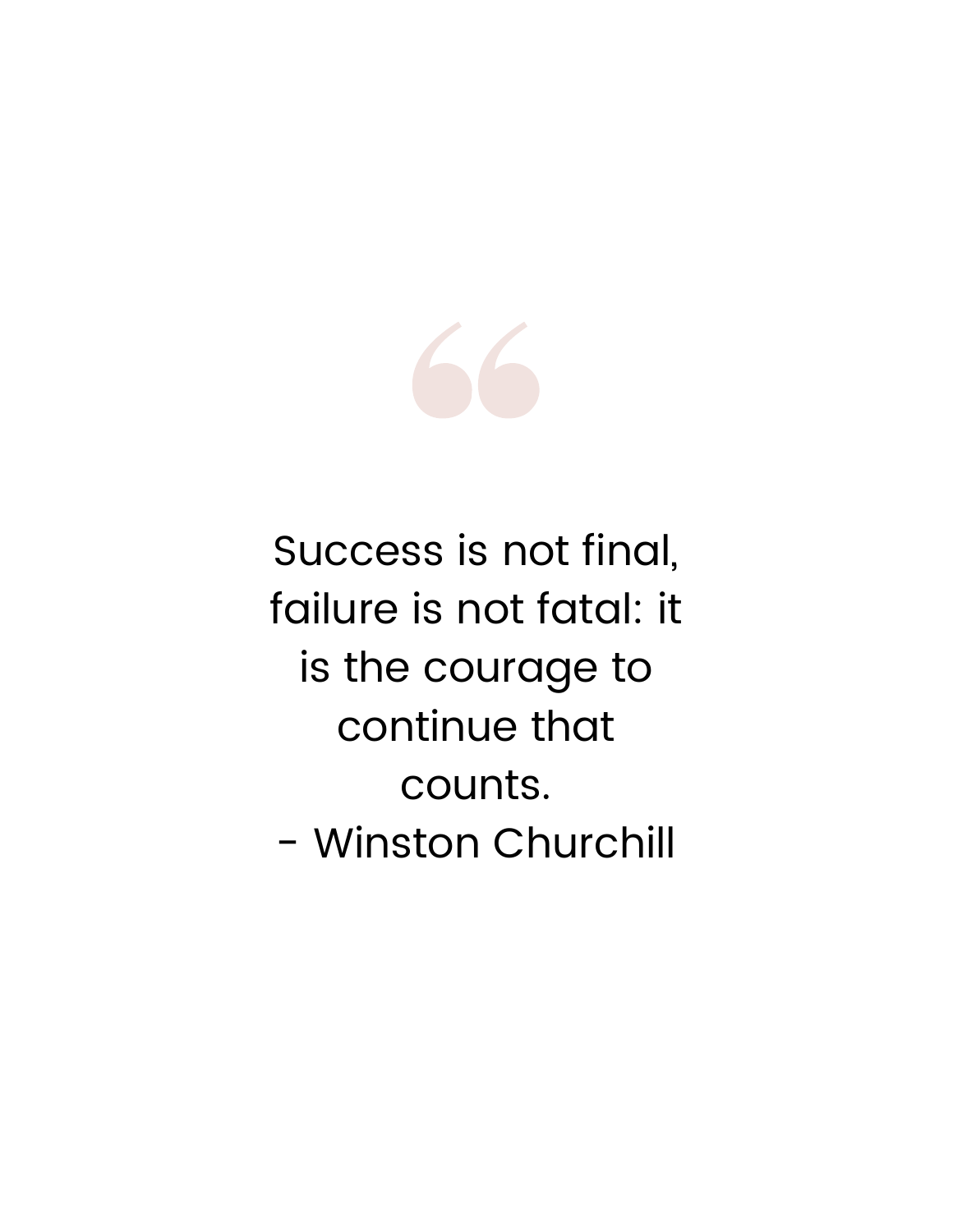

Success is not final, failure is not fatal: it is the courage to continue that counts. - Winston Churchill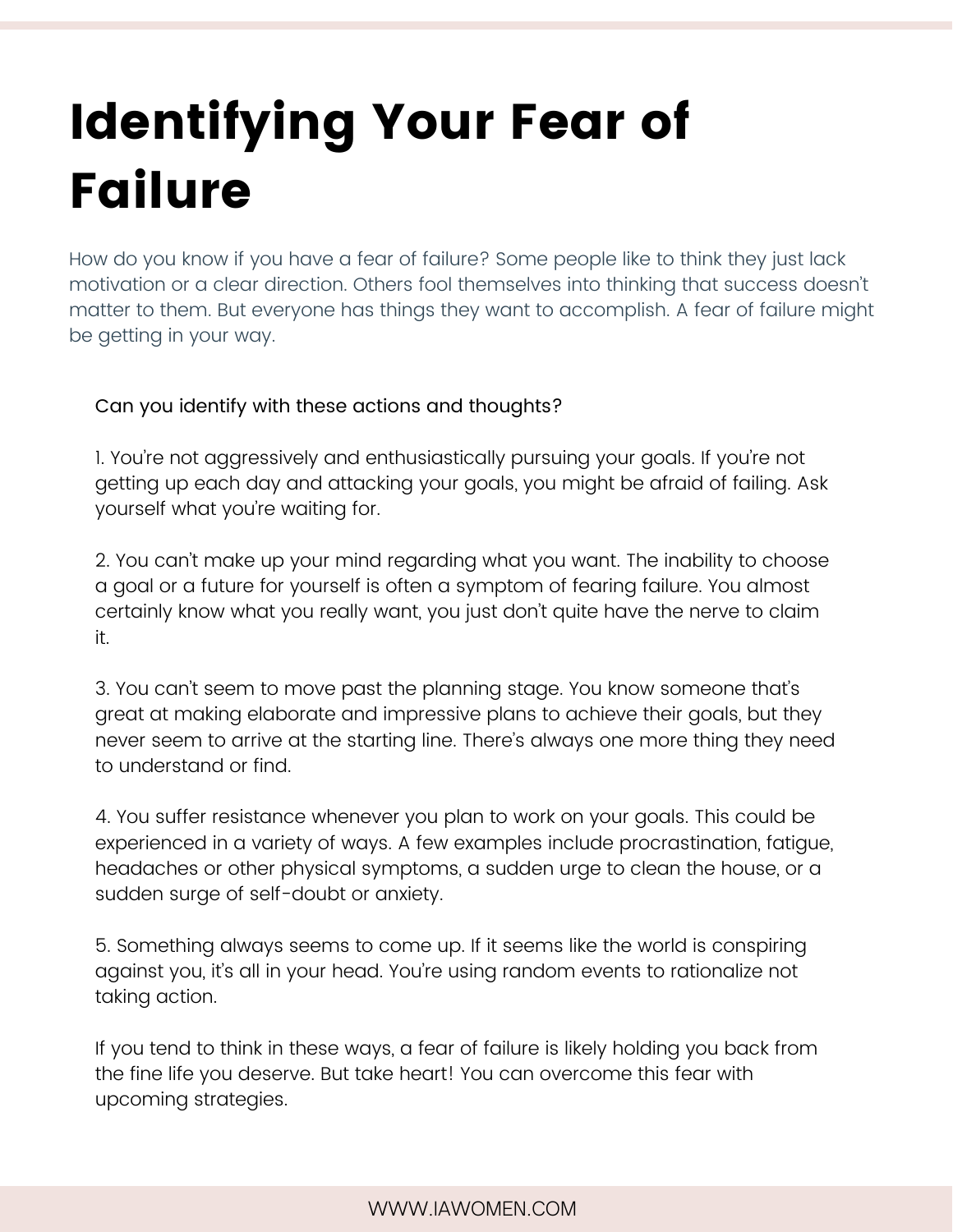# Identifying Your Fear of Failure

How do you know if you have a fear of failure? Some people like to think they just lack motivation or a clear direction. Others fool themselves into thinking that success doesn't matter to them. But everyone has things they want to accomplish. A fear of failure might be getting in your way.

#### Can you identify with these actions and thoughts?

1. You're not aggressively and enthusiastically pursuing your goals. If you're not getting up each day and attacking your goals, you might be afraid of failing. Ask yourself what you're waiting for.

2. You can't make up your mind regarding what you want. The inability to choose a goal or a future for yourself is often a symptom of fearing failure. You almost certainly know what you really want, you just don't quite have the nerve to claim it.

3. You can't seem to move past the planning stage. You know someone that's great at making elaborate and impressive plans to achieve their goals, but they never seem to arrive at the starting line. There's always one more thing they need to understand or find.

4. You suffer resistance whenever you plan to work on your goals. This could be experienced in a variety of ways. A few examples include procrastination, fatigue, headaches or other physical symptoms, a sudden urge to clean the house, or a sudden surge of self-doubt or anxiety.

5. Something always seems to come up. If it seems like the world is conspiring against you, it's all in your head. You're using random events to rationalize not taking action.

If you tend to think in these ways, a fear of failure is likely holding you back from the fine life you deserve. But take heart! You can overcome this fear with upcoming strategies.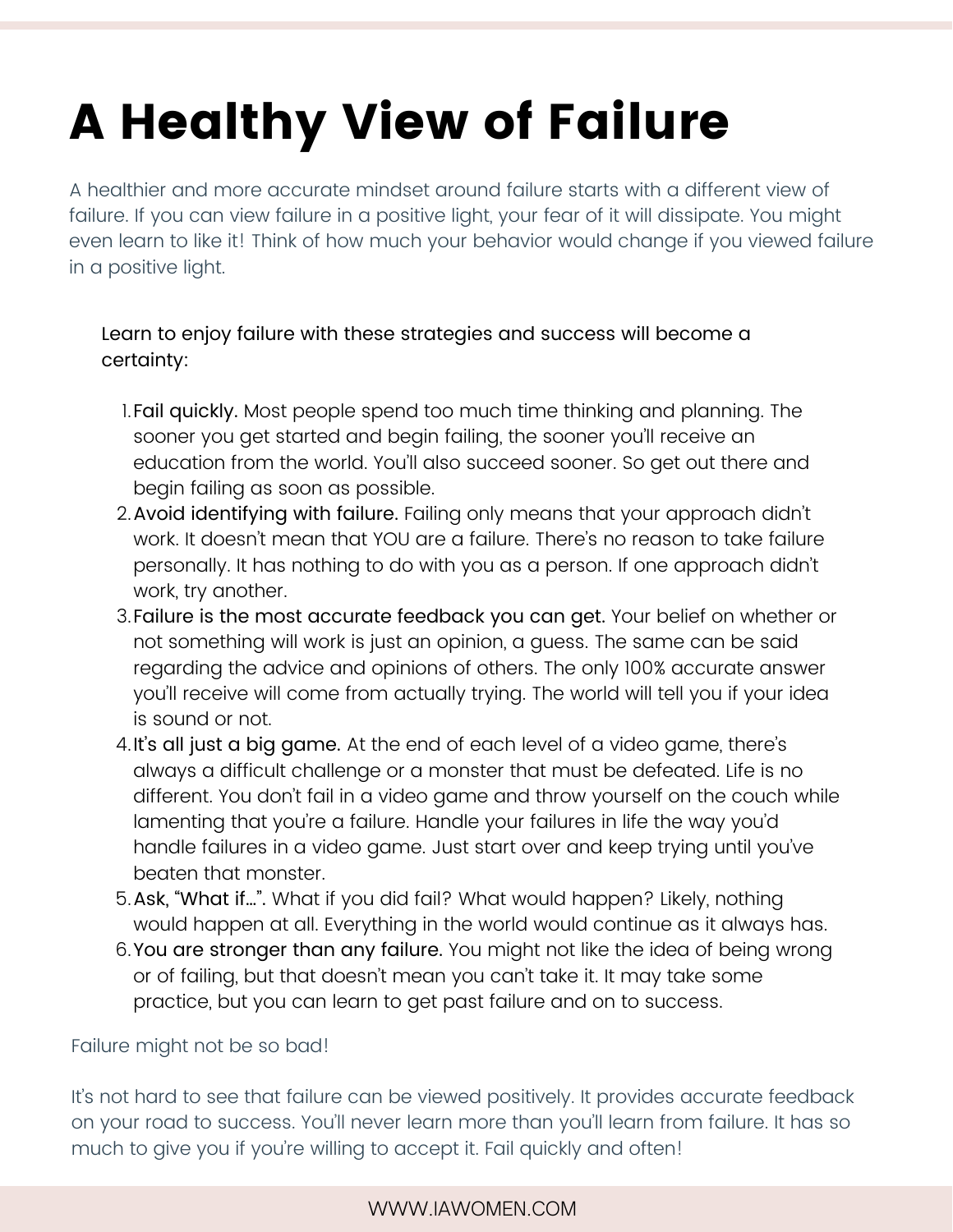# A Healthy View of Failure

A healthier and more accurate mindset around failure starts with a different view of failure. If you can view failure in a positive light, your fear of it will dissipate. You might even learn to like it! Think of how much your behavior would change if you viewed failure in a positive light.

#### Learn to enjoy failure with these strategies and success will become a certainty:

- Fail quickly. Most people spend too much time thinking and planning. The 1. sooner you get started and begin failing, the sooner you'll receive an education from the world. You'll also succeed sooner. So get out there and begin failing as soon as possible.
- 2. Avoid identifying with failure. Failing only means that your approach didn't work. It doesn't mean that YOU are a failure. There's no reason to take failure personally. It has nothing to do with you as a person. If one approach didn't work, try another.
- 3.Failure is the most accurate feedback you can get. Your belief on whether or not something will work is just an opinion, a guess. The same can be said regarding the advice and opinions of others. The only 100% accurate answer you'll receive will come from actually trying. The world will tell you if your idea is sound or not.
- 4.It's all just a big game. At the end of each level of a video game, there's always a difficult challenge or a monster that must be defeated. Life is no different. You don't fail in a video game and throw yourself on the couch while lamenting that you're a failure. Handle your failures in life the way you'd handle failures in a video game. Just start over and keep trying until you've beaten that monster.
- 5.Ask, "What if…". What if you did fail? What would happen? Likely, nothing would happen at all. Everything in the world would continue as it always has.
- 6. **You are stronger than any failure.** You might not like the idea of being wrong or of failing, but that doesn't mean you can't take it. It may take some practice, but you can learn to get past failure and on to success.

Failure might not be so bad!

It's not hard to see that failure can be viewed positively. It provides accurate feedback on your road to success. You'll never learn more than you'll learn from failure. It has so much to give you if you're willing to accept it. Fail quickly and often!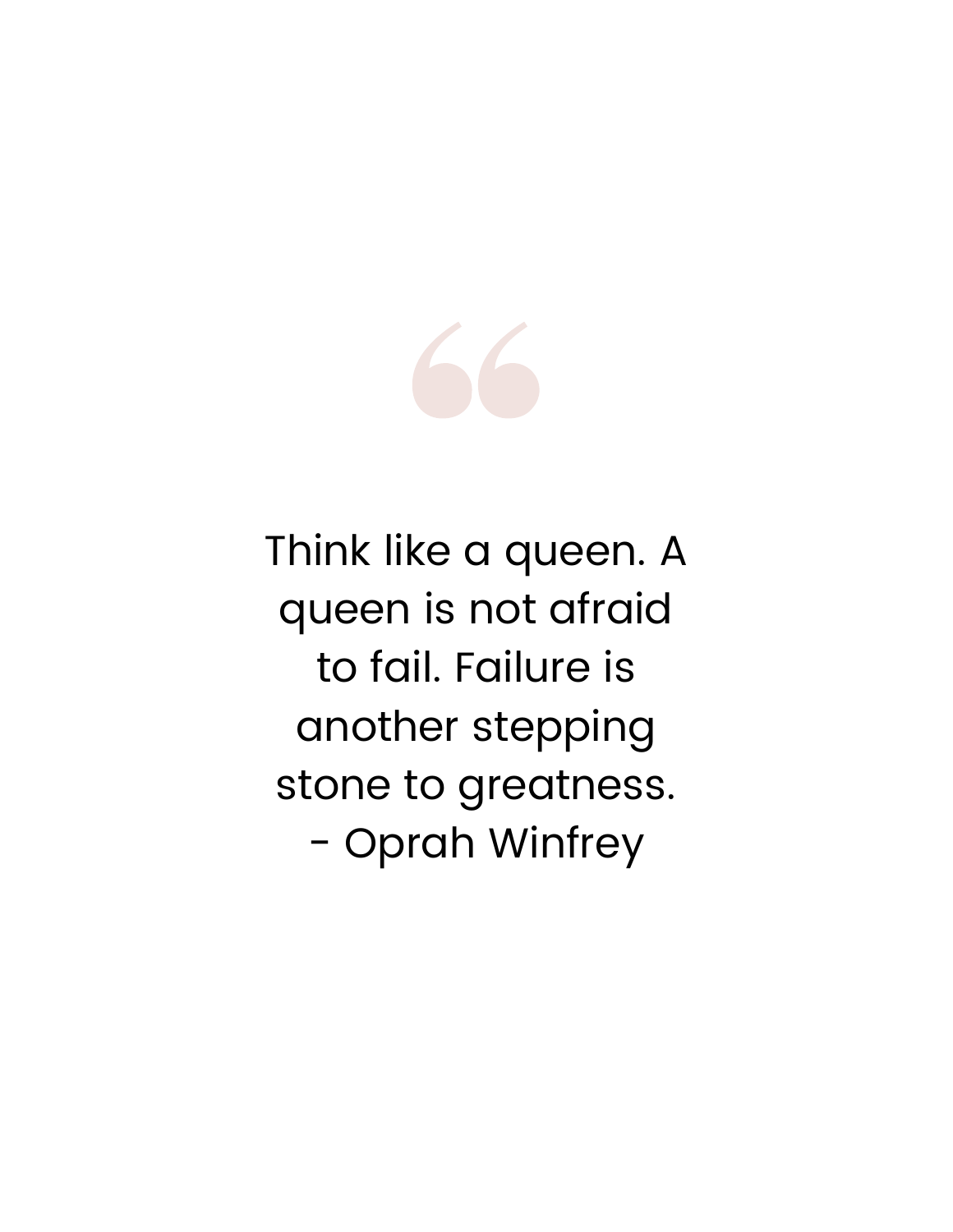

Think like a queen. A queen is not afraid to fail. Failure is another stepping stone to greatness. - Oprah Winfrey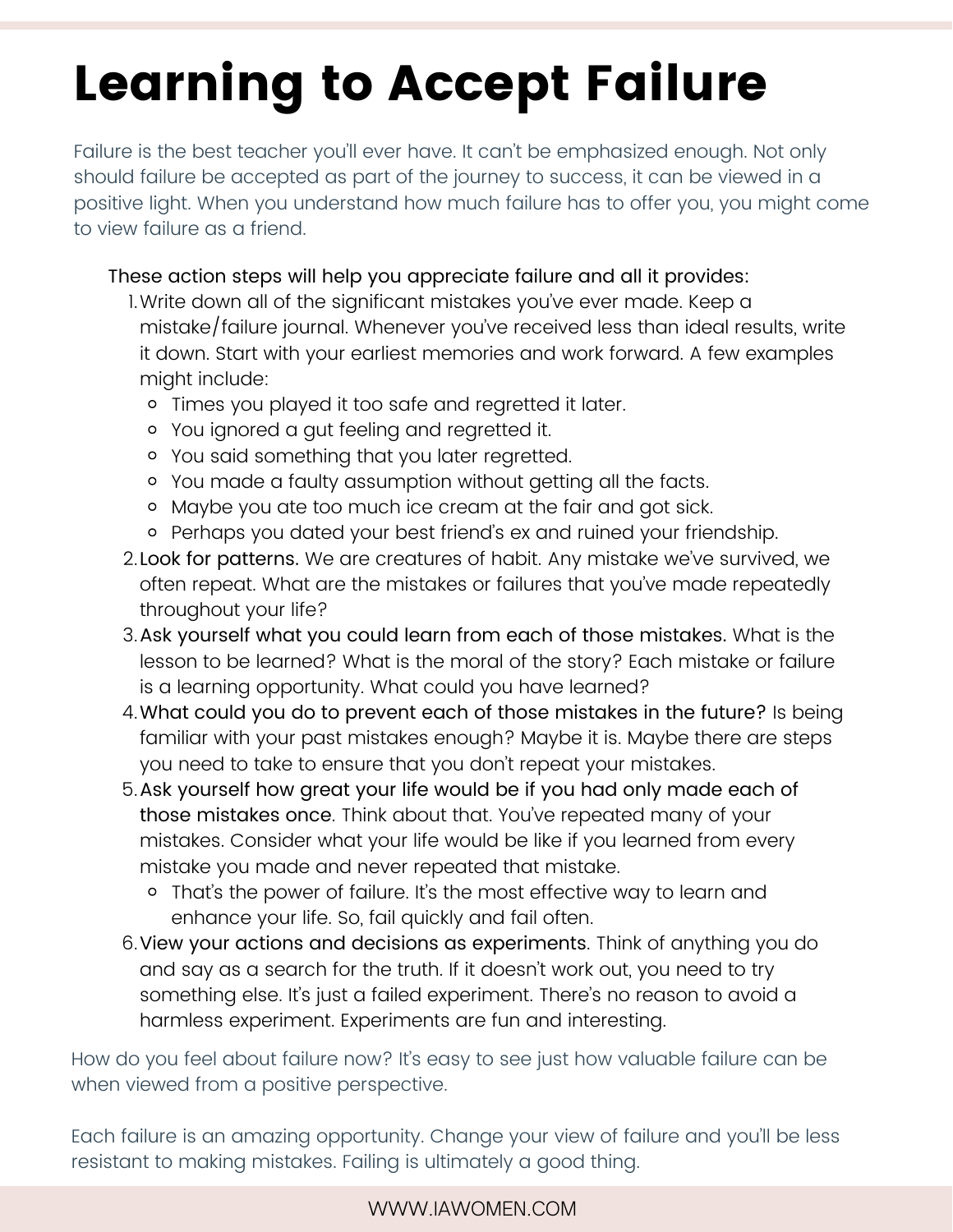## Learning to Accept Failure

Failure is the best teacher you'll ever have. It can't be emphasized enough. Not only should failure be accepted as part of the journey to success, it can be viewed in a positive light. When you understand how much failure has to offer you, you might come to view failure as a friend.

These action steps will help you appreciate failure and all it provides:

- Write down all of the significant mistakes you've ever made. Keep a 1. mistake/failure journal. Whenever you've received less than ideal results, write it down. Start with your earliest memories and work forward. A few examples might include:
	- o Times you played it too safe and regretted it later.
	- You ignored a gut feeling and regretted it.
	- You said something that you later regretted.
	- You made a faulty assumption without getting all the facts.
	- Maybe you ate too much ice cream at the fair and got sick.
	- o Perhaps you dated your best friend's ex and ruined your friendship.
- 2. **Look for patterns.** We are creatures of habit. Any mistake we've survived, we often repeat. What are the mistakes or failures that you've made repeatedly throughout your life?
- 3. Ask yourself what you could learn from each of those mistakes. What is the lesson to be learned? What is the moral of the story? Each mistake or failure is a learning opportunity. What could you have learned?
- What could you do to prevent each of those mistakes in the future? Is being 4. familiar with your past mistakes enough? Maybe it is. Maybe there are steps you need to take to ensure that you don't repeat your mistakes.
- b.Ask yourself how great your life would be if you had only made each of those mistakes once. Think about that. You've repeated many of your mistakes. Consider what your life would be like if you learned from every mistake you made and never repeated that mistake.
	- That's the power of failure. It's the most effective way to learn and enhance your life. So, fail quickly and fail often.
- 6. View your actions and decisions as experiments. Think of anything you do and say as a search for the truth. If it doesn't work out, you need to try something else. It's just a failed experiment. There's no reason to avoid a harmless experiment. Experiments are fun and interesting.

How do you feel about failure now? It's easy to see just how valuable failure can be when viewed from a positive perspective.

Each failure is an amazing opportunity. Change your view of failure and you'll be less resistant to making mistakes. Failing is ultimately a good thing.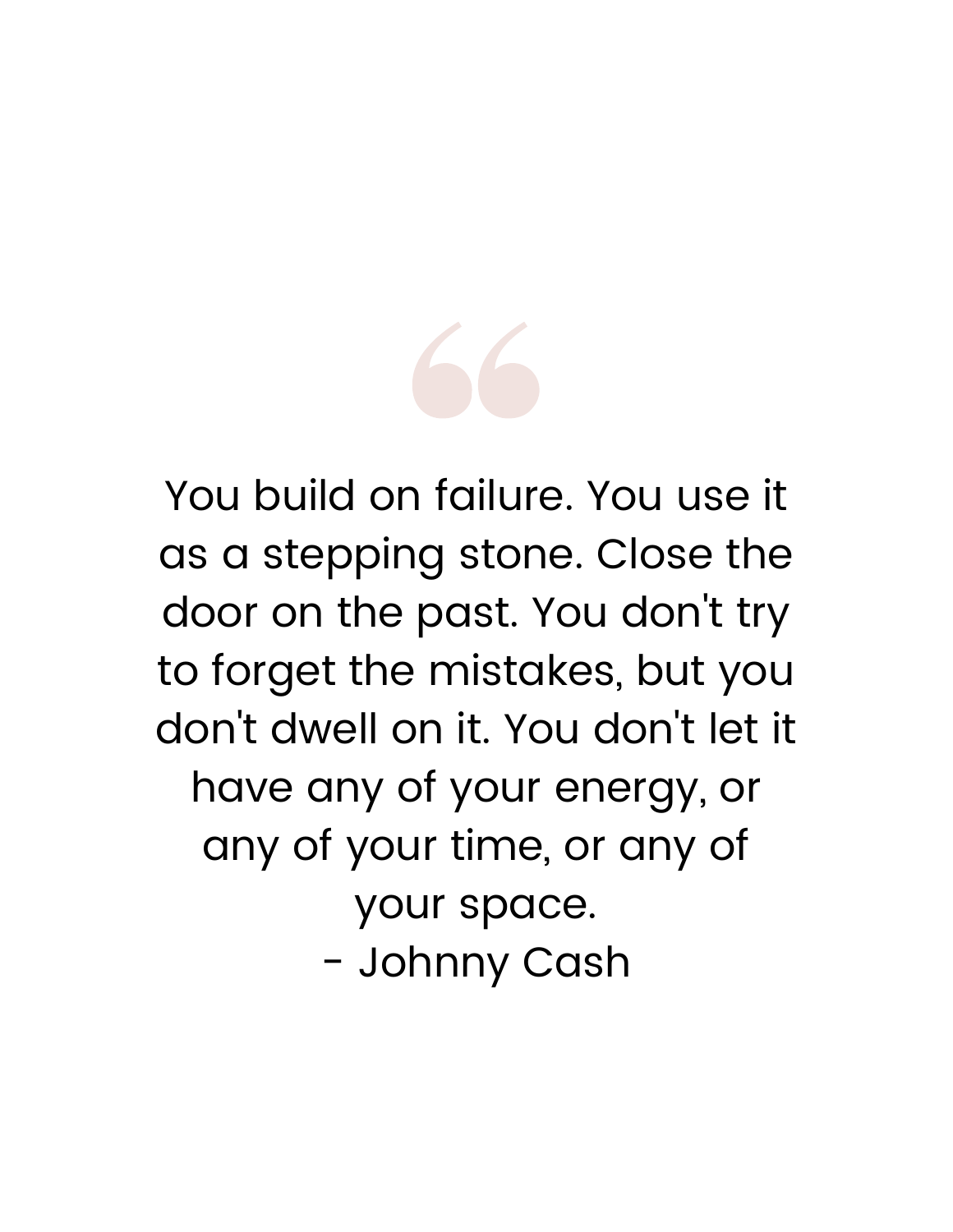

You build on failure. You use it as a stepping stone. Close the door on the past. You don 't try to forget the mistakes, but you don 't dwell on it. You don 't let it have any of your energy, or any of your time, or any of your space. - Johnny Cash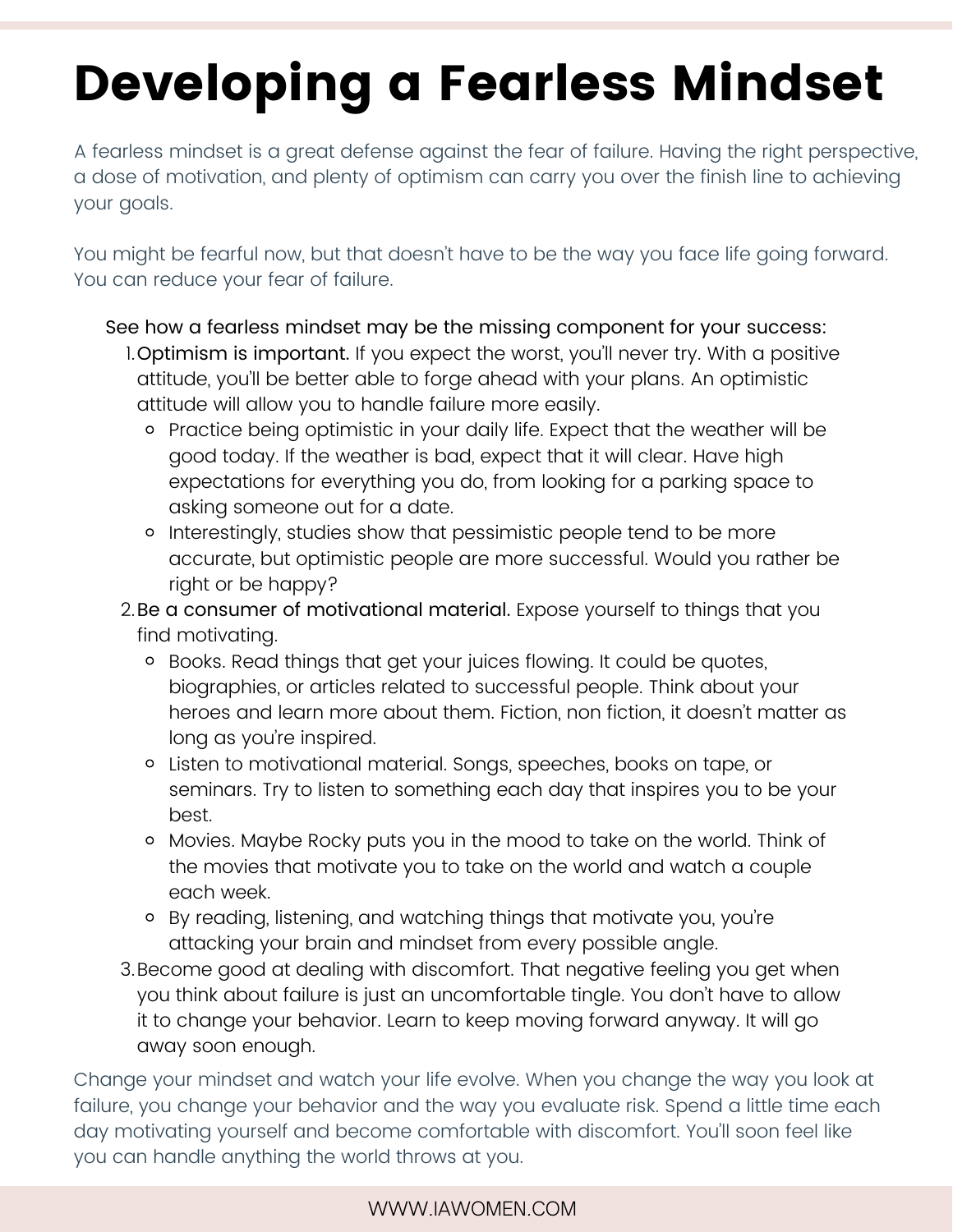# Developing a Fearless Mindset

A fearless mindset is a great defense against the fear of failure. Having the right perspective, a dose of motivation, and plenty of optimism can carry you over the finish line to achieving your goals.

You might be fearful now, but that doesn't have to be the way you face life going forward. You can reduce your fear of failure.

See how a fearless mindset may be the missing component for your success:

- I.**Optimism is important.** If you expect the worst, you'll never try. With a positive attitude, you'll be better able to forge ahead with your plans. An optimistic attitude will allow you to handle failure more easily.
	- o Practice being optimistic in your daily life. Expect that the weather will be good today. If the weather is bad, expect that it will clear. Have high expectations for everything you do, from looking for a parking space to asking someone out for a date.
	- o Interestingly, studies show that pessimistic people tend to be more accurate, but optimistic people are more successful. Would you rather be right or be happy?

2.Be a consumer of motivational material. Expose yourself to things that you find motivating.

- Books. Read things that get your juices flowing. It could be quotes, biographies, or articles related to successful people. Think about your heroes and learn more about them. Fiction, non fiction, it doesn't matter as long as you're inspired.
- Listen to motivational material. Songs, speeches, books on tape, or seminars. Try to listen to something each day that inspires you to be your best.
- Movies. Maybe Rocky puts you in the mood to take on the world. Think of the movies that motivate you to take on the world and watch a couple each week.
- By reading, listening, and watching things that motivate you, you're attacking your brain and mindset from every possible angle.
- Become good at dealing with discomfort. That negative feeling you get when 3. you think about failure is just an uncomfortable tingle. You don't have to allow it to change your behavior. Learn to keep moving forward anyway. It will go away soon enough.

Change your mindset and watch your life evolve. When you change the way you look at failure, you change your behavior and the way you evaluate risk. Spend a little time each day motivating yourself and become comfortable with discomfort. You'll soon feel like you can handle anything the world throws at you.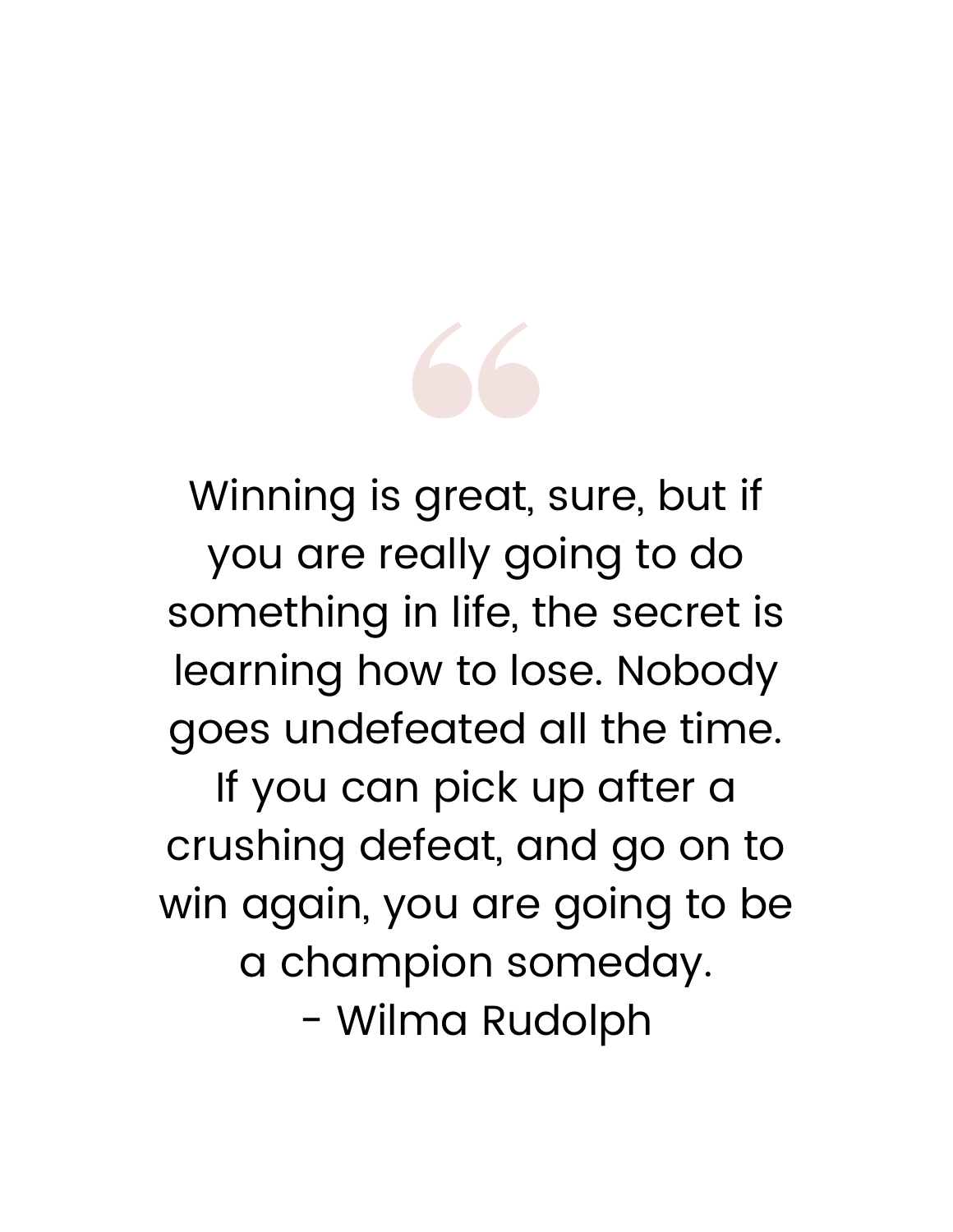

Winning is great, sure, but if you are really going to do something in life, the secret is learning how to lose. Nobody goes undefeated all the time.

If you can pick up after a crushing defeat, and go on to win again, you are going to be a champion someday. - Wilma Rudolph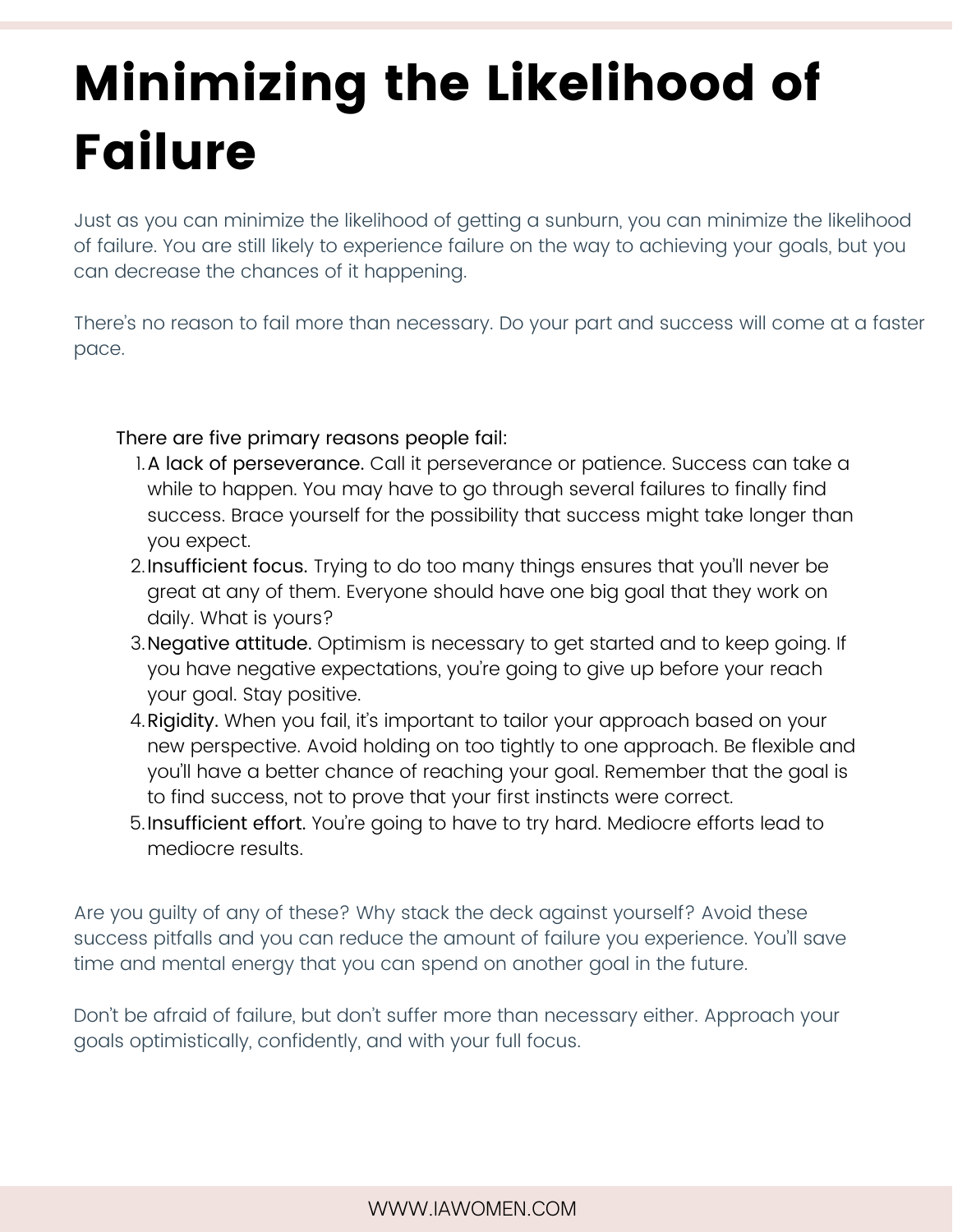# Minimizing the Likelihood of Failure

Just as you can minimize the likelihood of getting a sunburn, you can minimize the likelihood of failure. You are still likely to experience failure on the way to achieving your goals, but you can decrease the chances of it happening.

There's no reason to fail more than necessary. Do your part and success will come at a faster pace.

There are five primary reasons people fail:

- A lack of perseverance. Call it perseverance or patience. Success can take a 1. while to happen. You may have to go through several failures to finally find success. Brace yourself for the possibility that success might take longer than you expect.
- 2. Insufficient focus. Trying to do too many things ensures that you'll never be great at any of them. Everyone should have one big goal that they work on daily. What is yours?
- 3. **Negative attitude.** Optimism is necessary to get started and to keep going. If you have negative expectations, you're going to give up before your reach your goal. Stay positive.
- 4.**Rigidity.** When you fail, it's important to tailor your approach based on your new perspective. Avoid holding on too tightly to one approach. Be flexible and you'll have a better chance of reaching your goal. Remember that the goal is to find success, not to prove that your first instincts were correct.
- 5.Insufficient effort. You're going to have to try hard. Mediocre efforts lead to mediocre results.

Are you guilty of any of these? Why stack the deck against yourself? Avoid these success pitfalls and you can reduce the amount of failure you experience. You'll save time and mental energy that you can spend on another goal in the future.

Don't be afraid of failure, but don't suffer more than necessary either. Approach your goals optimistically, confidently, and with your full focus.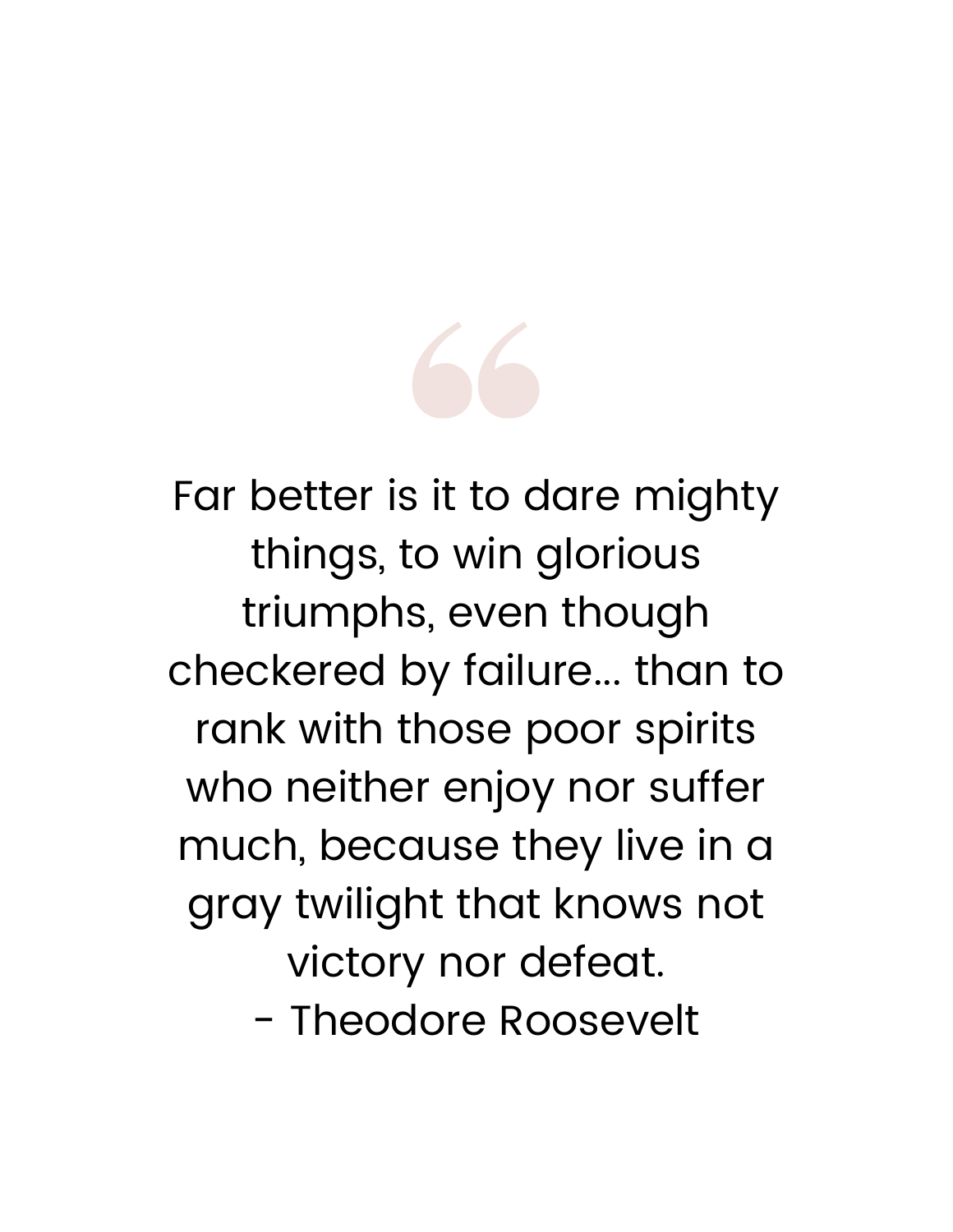

Far better is it to dare mighty things, to win glorious triumphs, even though checkered by failure... than to rank with those poor spirits who neither enjoy nor suffer much, because they live in a gray twilight that knows not victory nor defeat.

- Theodore Roosevelt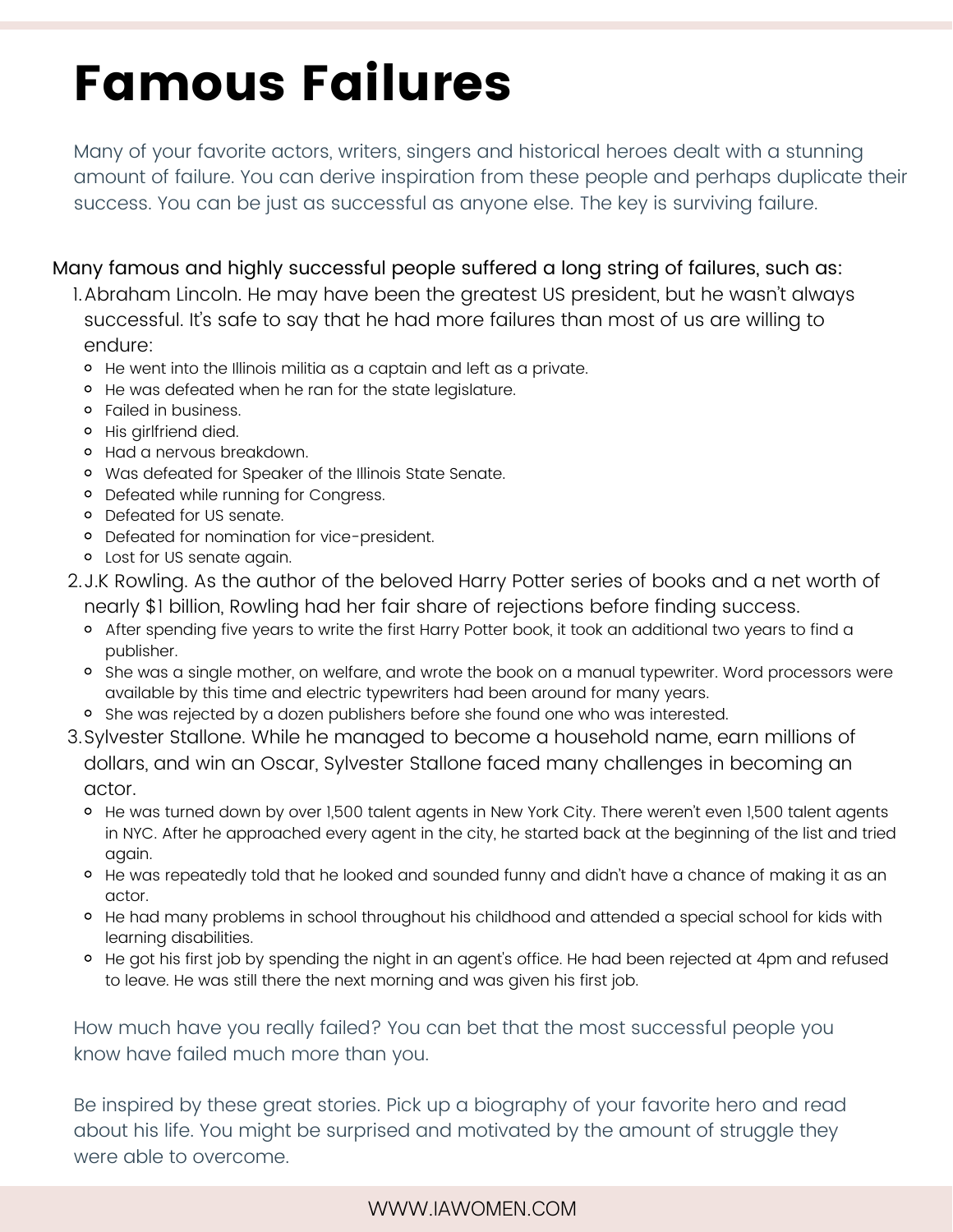### Famous Failures

Many of your favorite actors, writers, singers and historical heroes dealt with a stunning amount of failure. You can derive inspiration from these people and perhaps duplicate their success. You can be just as successful as anyone else. The key is surviving failure.

Many famous and highly successful people suffered a long string of failures, such as:

I.Abraham Lincoln. He may have been the greatest US president, but he wasn't always successful. It's safe to say that he had more failures than most of us are willing to endure:

- He went into the Illinois militia as a captain and left as a private.
- He was defeated when he ran for the state legislature.
- Failed in business.
- His girlfriend died.
- Had a nervous breakdown.
- Was defeated for Speaker of the Illinois State Senate.
- o Defeated while running for Congress.
- Defeated for US senate.
- Defeated for nomination for vice-president.
- Lost for US senate again.
- 2.J.K Rowling. As the author of the beloved Harry Potter series of books and a net worth of nearly \$1 billion, Rowling had her fair share of rejections before finding success.
	- <sup>o</sup> After spending five years to write the first Harry Potter book, it took an additional two years to find a publisher.
	- <sup>o</sup> She was a single mother, on welfare, and wrote the book on a manual typewriter. Word processors were available by this time and electric typewriters had been around for many years.
	- o She was rejected by a dozen publishers before she found one who was interested.
- Sylvester Stallone. While he managed to become a household name, earn millions of 3. dollars, and win an Oscar, Sylvester Stallone faced many challenges in becoming an actor.
	- o He was turned down by over 1,500 talent agents in New York City. There weren't even 1,500 talent agents in NYC. After he approached every agent in the city, he started back at the beginning of the list and tried again.
	- He was repeatedly told that he looked and sounded funny and didn't have a chance of making it as an actor.
	- o He had many problems in school throughout his childhood and attended a special school for kids with learning disabilities.
	- He got his first job by spending the night in an agent's office. He had been rejected at 4pm and refused to leave. He was still there the next morning and was given his first job.

How much have you really failed? You can bet that the most successful people you know have failed much more than you.

Be inspired by these great stories. Pick up a biography of your favorite hero and read about his life. You might be surprised and motivated by the amount of struggle they were able to overcome.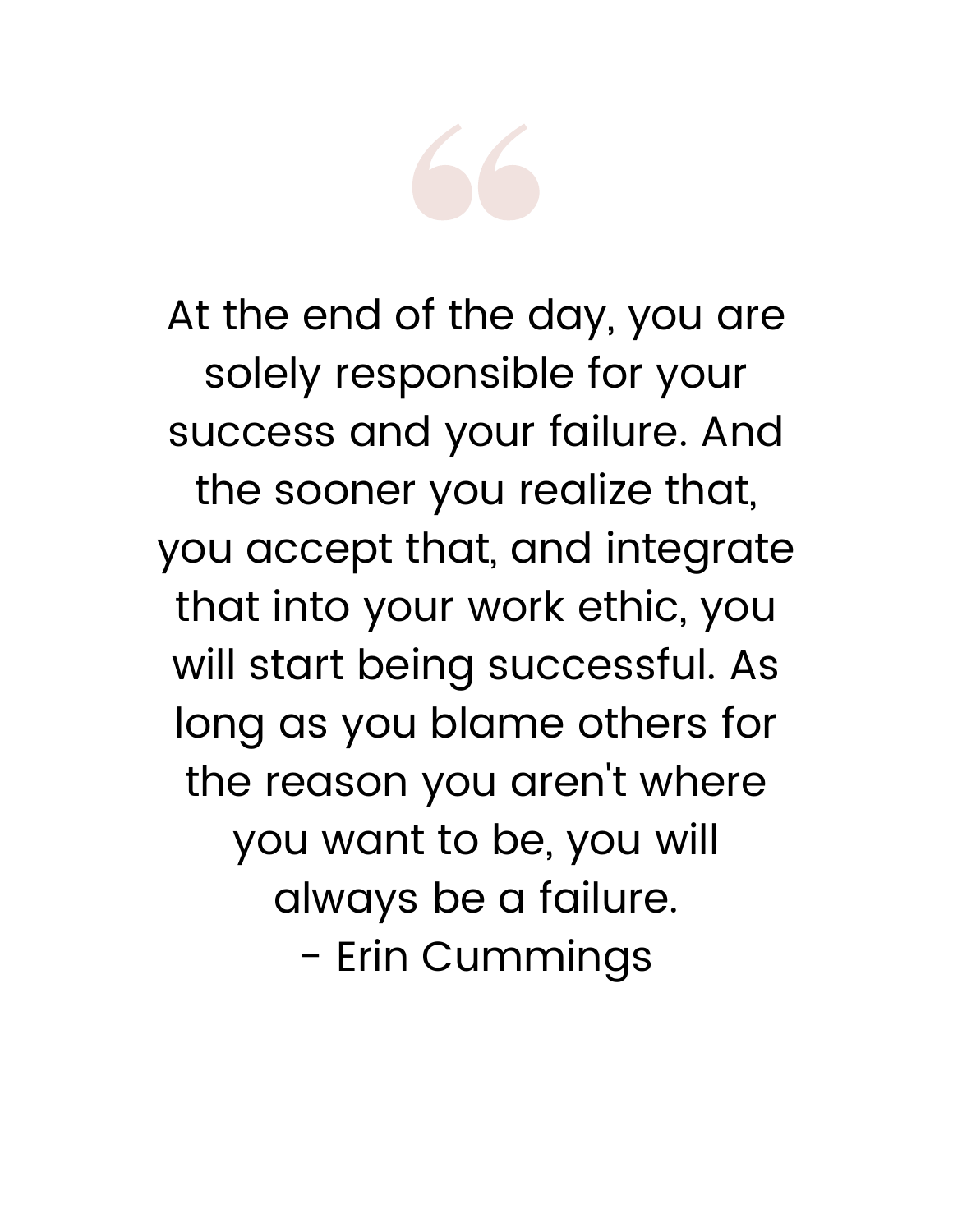

At the end of the day, you are solely responsible for your success and your failure. And the sooner you realize that, you accept that, and integrate that into your work ethic, you will start being successful. As long as you blame others for the reason you aren 't where you want to be, you will always be a failure. - Erin Cummings